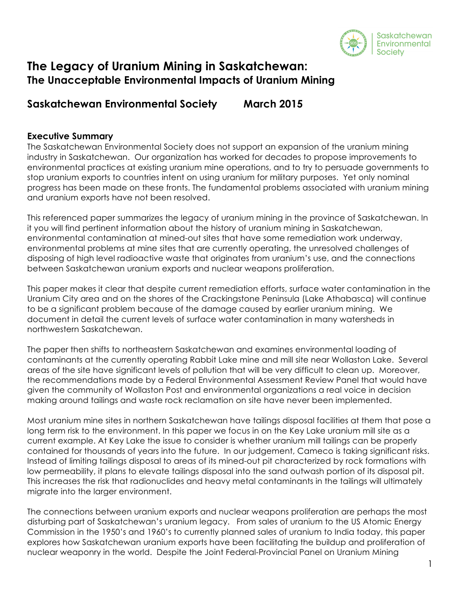

# **The Legacy of Uranium Mining in Saskatchewan: The Unacceptable Environmental Impacts of Uranium Mining**

## **Saskatchewan Environmental Society March 2015**

## **Executive Summary**

The Saskatchewan Environmental Society does not support an expansion of the uranium mining industry in Saskatchewan. Our organization has worked for decades to propose improvements to environmental practices at existing uranium mine operations, and to try to persuade governments to stop uranium exports to countries intent on using uranium for military purposes. Yet only nominal progress has been made on these fronts. The fundamental problems associated with uranium mining and uranium exports have not been resolved.

This referenced paper summarizes the legacy of uranium mining in the province of Saskatchewan. In it you will find pertinent information about the history of uranium mining in Saskatchewan, environmental contamination at mined-out sites that have some remediation work underway, environmental problems at mine sites that are currently operating, the unresolved challenges of disposing of high level radioactive waste that originates from uranium's use, and the connections between Saskatchewan uranium exports and nuclear weapons proliferation.

This paper makes it clear that despite current remediation efforts, surface water contamination in the Uranium City area and on the shores of the Crackingstone Peninsula (Lake Athabasca) will continue to be a significant problem because of the damage caused by earlier uranium mining. We document in detail the current levels of surface water contamination in many watersheds in northwestern Saskatchewan.

The paper then shifts to northeastern Saskatchewan and examines environmental loading of contaminants at the currently operating Rabbit Lake mine and mill site near Wollaston Lake. Several areas of the site have significant levels of pollution that will be very difficult to clean up. Moreover, the recommendations made by a Federal Environmental Assessment Review Panel that would have given the community of Wollaston Post and environmental organizations a real voice in decision making around tailings and waste rock reclamation on site have never been implemented.

Most uranium mine sites in northern Saskatchewan have tailings disposal facilities at them that pose a long term risk to the environment. In this paper we focus in on the Key Lake uranium mill site as a current example. At Key Lake the issue to consider is whether uranium mill tailings can be properly contained for thousands of years into the future. In our judgement, Cameco is taking significant risks. Instead of limiting tailings disposal to areas of its mined-out pit characterized by rock formations with low permeability, it plans to elevate tailings disposal into the sand outwash portion of its disposal pit. This increases the risk that radionuclides and heavy metal contaminants in the tailings will ultimately migrate into the larger environment.

The connections between uranium exports and nuclear weapons proliferation are perhaps the most disturbing part of Saskatchewan's uranium legacy. From sales of uranium to the US Atomic Energy Commission in the 1950's and 1960's to currently planned sales of uranium to India today, this paper explores how Saskatchewan uranium exports have been facilitating the buildup and proliferation of nuclear weaponry in the world. Despite the Joint Federal-Provincial Panel on Uranium Mining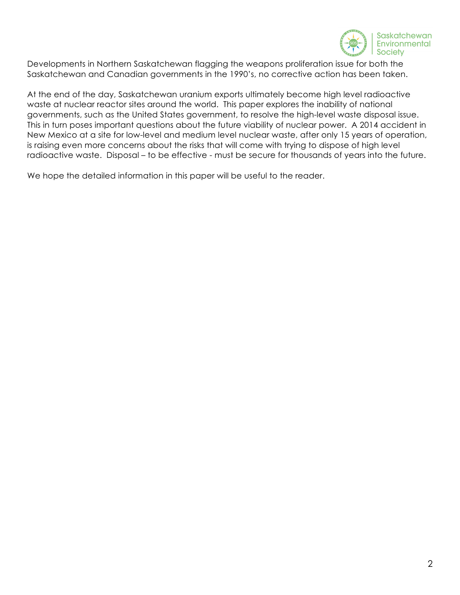

Developments in Northern Saskatchewan flagging the weapons proliferation issue for both the Saskatchewan and Canadian governments in the 1990's, no corrective action has been taken.

At the end of the day, Saskatchewan uranium exports ultimately become high level radioactive waste at nuclear reactor sites around the world. This paper explores the inability of national governments, such as the United States government, to resolve the high-level waste disposal issue. This in turn poses important questions about the future viability of nuclear power. A 2014 accident in New Mexico at a site for low-level and medium level nuclear waste, after only 15 years of operation, is raising even more concerns about the risks that will come with trying to dispose of high level radioactive waste. Disposal – to be effective - must be secure for thousands of years into the future.

We hope the detailed information in this paper will be useful to the reader.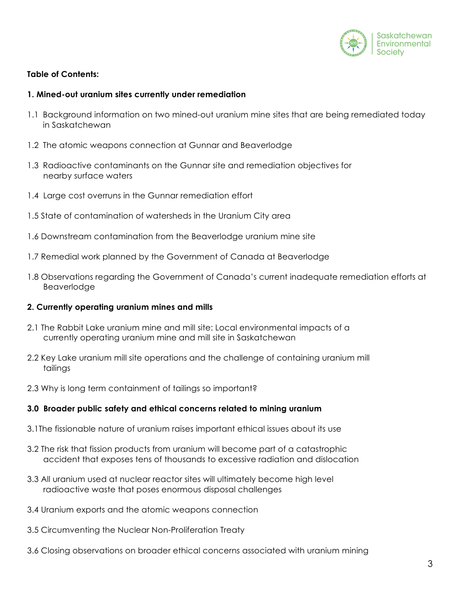

## **Table of Contents:**

#### **1. Mined-out uranium sites currently under remediation**

- 1.1 Background information on two mined-out uranium mine sites that are being remediated today in Saskatchewan
- 1.2 The atomic weapons connection at Gunnar and Beaverlodge
- 1.3 Radioactive contaminants on the Gunnar site and remediation objectives for nearby surface waters
- 1.4 Large cost overruns in the Gunnar remediation effort
- 1.5 State of contamination of watersheds in the Uranium City area
- 1.6 Downstream contamination from the Beaverlodge uranium mine site
- 1.7 Remedial work planned by the Government of Canada at Beaverlodge
- 1.8 Observations regarding the Government of Canada's current inadequate remediation efforts at Beaverlodge

#### **2. Currently operating uranium mines and mills**

- 2.1 The Rabbit Lake uranium mine and mill site: Local environmental impacts of a currently operating uranium mine and mill site in Saskatchewan
- 2.2 Key Lake uranium mill site operations and the challenge of containing uranium mill tailings
- 2.3 Why is long term containment of tailings so important?

#### **3.0 Broader public safety and ethical concerns related to mining uranium**

- 3.1The fissionable nature of uranium raises important ethical issues about its use
- 3.2 The risk that fission products from uranium will become part of a catastrophic accident that exposes tens of thousands to excessive radiation and dislocation
- 3.3 All uranium used at nuclear reactor sites will ultimately become high level radioactive waste that poses enormous disposal challenges
- 3.4 Uranium exports and the atomic weapons connection
- 3.5 Circumventing the Nuclear Non-Proliferation Treaty
- 3.6 Closing observations on broader ethical concerns associated with uranium mining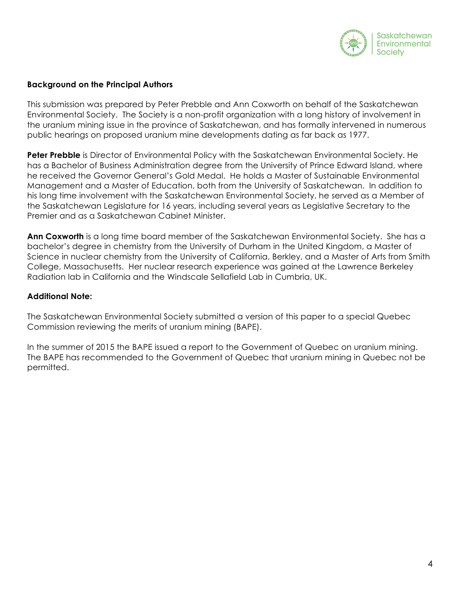

#### **Background on the Principal Authors**

This submission was prepared by Peter Prebble and Ann Coxworth on behalf of the Saskatchewan Environmental Society. The Society is a non-profit organization with a long history of involvement in the uranium mining issue in the province of Saskatchewan, and has formally intervened in numerous public hearings on proposed uranium mine developments dating as far back as 1977.

**Peter Prebble** is Director of Environmental Policy with the Saskatchewan Environmental Society. He has a Bachelor of Business Administration degree from the University of Prince Edward Island, where he received the Governor General's Gold Medal. He holds a Master of Sustainable Environmental Management and a Master of Education, both from the University of Saskatchewan. In addition to his long time involvement with the Saskatchewan Environmental Society, he served as a Member of the Saskatchewan Legislature for 16 years, including several years as Legislative Secretary to the Premier and as a Saskatchewan Cabinet Minister.

**Ann Coxworth** is a long time board member of the Saskatchewan Environmental Society. She has a bachelor's degree in chemistry from the University of Durham in the United Kingdom, a Master of Science in nuclear chemistry from the University of California, Berkley, and a Master of Arts from Smith College, Massachusetts. Her nuclear research experience was gained at the Lawrence Berkeley Radiation lab in California and the Windscale Sellafield Lab in Cumbria, UK.

#### **Additional Note:**

The Saskatchewan Environmental Society submitted a version of this paper to a special Quebec Commission reviewing the merits of uranium mining (BAPE).

In the summer of 2015 the BAPE issued a report to the Government of Quebec on uranium mining. The BAPE has recommended to the Government of Quebec that uranium mining in Quebec not be permitted.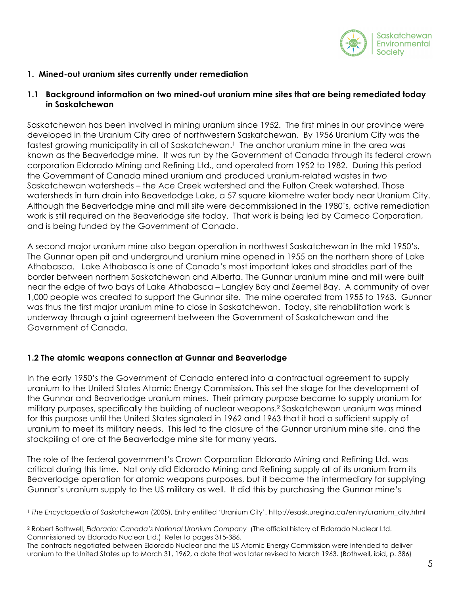

## **1. Mined-out uranium sites currently under remediation**

#### **1.1 Background information on two mined-out uranium mine sites that are being remediated today in Saskatchewan**

Saskatchewan has been involved in mining uranium since 1952. The first mines in our province were developed in the Uranium City area of northwestern Saskatchewan. By 1956 Uranium City was the fastest growing municipality in all of Saskatchewan.<sup>1</sup> The anchor uranium mine in the area was known as the Beaverlodge mine. It was run by the Government of Canada through its federal crown corporation Eldorado Mining and Refining Ltd., and operated from 1952 to 1982. During this period the Government of Canada mined uranium and produced uranium-related wastes in two Saskatchewan watersheds – the Ace Creek watershed and the Fulton Creek watershed. Those watersheds in turn drain into Beaverlodge Lake, a 57 square kilometre water body near Uranium City. Although the Beaverlodge mine and mill site were decommissioned in the 1980's, active remediation work is still required on the Beaverlodge site today. That work is being led by Cameco Corporation, and is being funded by the Government of Canada.

A second major uranium mine also began operation in northwest Saskatchewan in the mid 1950's. The Gunnar open pit and underground uranium mine opened in 1955 on the northern shore of Lake Athabasca. Lake Athabasca is one of Canada's most important lakes and straddles part of the border between northern Saskatchewan and Alberta. The Gunnar uranium mine and mill were built near the edge of two bays of Lake Athabasca – Langley Bay and Zeemel Bay. A community of over 1,000 people was created to support the Gunnar site. The mine operated from 1955 to 1963. Gunnar was thus the first major uranium mine to close in Saskatchewan. Today, site rehabilitation work is underway through a joint agreement between the Government of Saskatchewan and the Government of Canada.

#### **1.2 The atomic weapons connection at Gunnar and Beaverlodge**

<u>.</u>

In the early 1950's the Government of Canada entered into a contractual agreement to supply uranium to the United States Atomic Energy Commission. This set the stage for the development of the Gunnar and Beaverlodge uranium mines. Their primary purpose became to supply uranium for military purposes, specifically the building of nuclear weapons. $^2$  Saskatchewan uranium was mined for this purpose until the United States signaled in 1962 and 1963 that it had a sufficient supply of uranium to meet its military needs. This led to the closure of the Gunnar uranium mine site, and the stockpiling of ore at the Beaverlodge mine site for many years.

The role of the federal government's Crown Corporation Eldorado Mining and Refining Ltd. was critical during this time. Not only did Eldorado Mining and Refining supply all of its uranium from its Beaverlodge operation for atomic weapons purposes, but it became the intermediary for supplying Gunnar's uranium supply to the US military as well. It did this by purchasing the Gunnar mine's

<sup>1</sup> *The Encyclopedia of Saskatchewan* (2005), Entry entitled 'Uranium City'. http://esask.uregina.ca/entry/uranium\_city.html

<sup>2</sup> Robert Bothwell, *Eldorado: Canada's National Uranium Company* (The official history of Eldorado Nuclear Ltd. Commissioned by Eldorado Nuclear Ltd.) Refer to pages 315-386.

The contracts negotiated between Eldorado Nuclear and the US Atomic Energy Commission were intended to deliver uranium to the United States up to March 31, 1962, a date that was later revised to March 1963. (Bothwell, ibid, p. 386)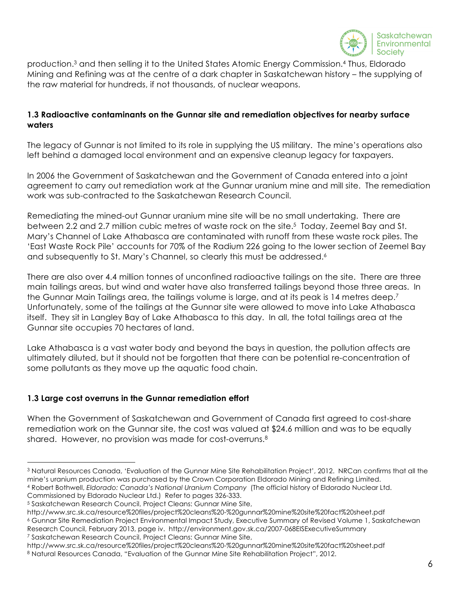

production.3 and then selling it to the United States Atomic Energy Commission.4 Thus, Eldorado Mining and Refining was at the centre of a dark chapter in Saskatchewan history – the supplying of the raw material for hundreds, if not thousands, of nuclear weapons.

## **1.3 Radioactive contaminants on the Gunnar site and remediation objectives for nearby surface waters**

The legacy of Gunnar is not limited to its role in supplying the US military. The mine's operations also left behind a damaged local environment and an expensive cleanup legacy for taxpayers.

In 2006 the Government of Saskatchewan and the Government of Canada entered into a joint agreement to carry out remediation work at the Gunnar uranium mine and mill site. The remediation work was sub-contracted to the Saskatchewan Research Council.

Remediating the mined-out Gunnar uranium mine site will be no small undertaking. There are between 2.2 and 2.7 million cubic metres of waste rock on the site.5 Today, Zeemel Bay and St. Mary's Channel of Lake Athabasca are contaminated with runoff from these waste rock piles. The 'East Waste Rock Pile' accounts for 70% of the Radium 226 going to the lower section of Zeemel Bay and subsequently to St. Mary's Channel, so clearly this must be addressed.<sup>6</sup>

There are also over 4.4 million tonnes of unconfined radioactive tailings on the site. There are three main tailings areas, but wind and water have also transferred tailings beyond those three areas. In the Gunnar Main Tailings area, the tailings volume is large, and at its peak is 14 metres deep.<sup>7</sup> Unfortunately, some of the tailings at the Gunnar site were allowed to move into Lake Athabasca itself. They sit in Langley Bay of Lake Athabasca to this day. In all, the total tailings area at the Gunnar site occupies 70 hectares of land.

Lake Athabasca is a vast water body and beyond the bays in question, the pollution affects are ultimately diluted, but it should not be forgotten that there can be potential re-concentration of some pollutants as they move up the aquatic food chain.

## **1.3 Large cost overruns in the Gunnar remediation effort**

When the Government of Saskatchewan and Government of Canada first agreed to cost-share remediation work on the Gunnar site, the cost was valued at \$24.6 million and was to be equally shared. However, no provision was made for cost-overruns.<sup>8</sup>

<sup>4</sup> Robert Bothwell, *Eldorado: Canada's National Uranium Company* (The official history of Eldorado Nuclear Ltd. Commissioned by Eldorado Nuclear Ltd.) Refer to pages 326-333.

<sup>1</sup> <sup>3</sup> Natural Resources Canada, 'Evaluation of the Gunnar Mine Site Rehabilitation Project', 2012. NRCan confirms that all the mine's uranium production was purchased by the Crown Corporation Eldorado Mining and Refining Limited.

<sup>5</sup> Saskatchewan Research Council, Project Cleans: Gunnar Mine Site,

http://www.src.sk.ca/resource%20files/project%20cleans%20-%20gunnar%20mine%20site%20fact%20sheet.pdf <sup>6</sup> Gunnar Site Remediation Project Environmental Impact Study, Executive Summary of Revised Volume 1, Saskatchewan Research Council, February 2013, page iv. http://environment.gov.sk.ca/2007-068EISExecutiveSummary <sup>7</sup> Saskatchewan Research Council, Project Cleans: Gunnar Mine Site,

http://www.src.sk.ca/resource%20files/project%20cleans%20-%20gunnar%20mine%20site%20fact%20sheet.pdf 8 Natural Resources Canada, "Evaluation of the Gunnar Mine Site Rehabilitation Project", 2012.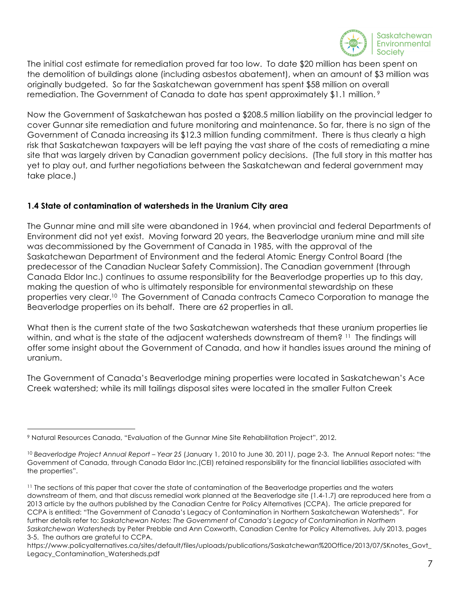

The initial cost estimate for remediation proved far too low. To date \$20 million has been spent on the demolition of buildings alone (including asbestos abatement), when an amount of \$3 million was originally budgeted. So far the Saskatchewan government has spent \$58 million on overall remediation. The Government of Canada to date has spent approximately \$1.1 million.<sup>9</sup>

Now the Government of Saskatchewan has posted a \$208.5 million liability on the provincial ledger to cover Gunnar site remediation and future monitoring and maintenance. So far, there is no sign of the Government of Canada increasing its \$12.3 million funding commitment. There is thus clearly a high risk that Saskatchewan taxpayers will be left paying the vast share of the costs of remediating a mine site that was largely driven by Canadian government policy decisions. (The full story in this matter has yet to play out, and further negotiations between the Saskatchewan and federal government may take place.)

## **1.4 State of contamination of watersheds in the Uranium City area**

The Gunnar mine and mill site were abandoned in 1964, when provincial and federal Departments of Environment did not yet exist. Moving forward 20 years, the Beaverlodge uranium mine and mill site was decommissioned by the Government of Canada in 1985, with the approval of the Saskatchewan Department of Environment and the federal Atomic Energy Control Board (the predecessor of the Canadian Nuclear Safety Commission). The Canadian government (through Canada Eldor Inc.) continues to assume responsibility for the Beaverlodge properties up to this day, making the question of who is ultimately responsible for environmental stewardship on these properties very clear.<sup>10</sup> The Government of Canada contracts Cameco Corporation to manage the Beaverlodge properties on its behalf. There are 62 properties in all.

What then is the current state of the two Saskatchewan watersheds that these uranium properties lie within, and what is the state of the adjacent watersheds downstream of them? 11 The findings will offer some insight about the Government of Canada, and how it handles issues around the mining of uranium.

The Government of Canada's Beaverlodge mining properties were located in Saskatchewan's Ace Creek watershed; while its mill tailings disposal sites were located in the smaller Fulton Creek

<sup>&</sup>lt;u>.</u> <sup>9</sup> Natural Resources Canada, "Evaluation of the Gunnar Mine Site Rehabilitation Project", 2012.

<sup>10</sup> *Beaverlodge Project Annual Report – Year 25* (January 1, 2010 to June 30, 2011*)*, page 2-3. The Annual Report notes: "the Government of Canada, through Canada Eldor Inc.(CEI) retained responsibility for the financial liabilities associated with the properties".

<sup>&</sup>lt;sup>11</sup> The sections of this paper that cover the state of contamination of the Beaverlodge properties and the waters downstream of them, and that discuss remedial work planned at the Beaverlodge site (1.4-1.7) are reproduced here from a 2013 article by the authors published by the Canadian Centre for Policy Alternatives (CCPA). The article prepared for CCPA is entitled: "The Government of Canada's Legacy of Contamination in Northern Saskatchewan Watersheds". For further details refer to: Saskatchewan Notes: The Government of Canada's Legacy of Contamination in Northern *Saskatchewan Watersheds* by Peter Prebble and Ann Coxworth, Canadian Centre for Policy Alternatives, July 2013, pages 3-5. The authors are grateful to CCPA.

https://www.policyalternatives.ca/sites/default/files/uploads/publications/Saskatchewan%20Office/2013/07/SKnotes\_Govt\_ Legacy\_Contamination\_Watersheds.pdf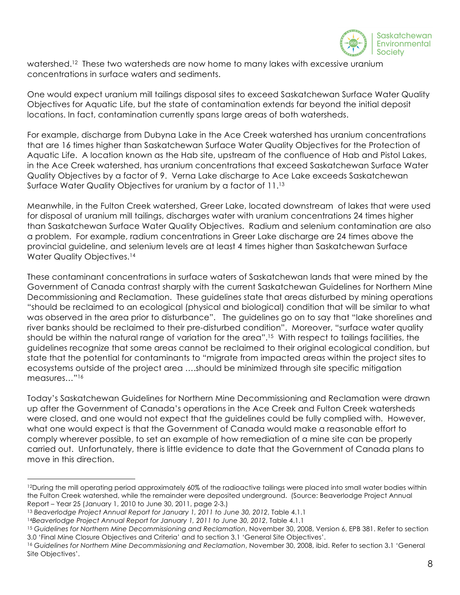

watershed.<sup>12</sup> These two watersheds are now home to many lakes with excessive uranium concentrations in surface waters and sediments.

One would expect uranium mill tailings disposal sites to exceed Saskatchewan Surface Water Quality Objectives for Aquatic Life, but the state of contamination extends far beyond the initial deposit locations. In fact, contamination currently spans large areas of both watersheds.

For example, discharge from Dubyna Lake in the Ace Creek watershed has uranium concentrations that are 16 times higher than Saskatchewan Surface Water Quality Objectives for the Protection of Aquatic Life. A location known as the Hab site, upstream of the confluence of Hab and Pistol Lakes, in the Ace Creek watershed, has uranium concentrations that exceed Saskatchewan Surface Water Quality Objectives by a factor of 9. Verna Lake discharge to Ace Lake exceeds Saskatchewan Surface Water Quality Objectives for uranium by a factor of 11.13

Meanwhile, in the Fulton Creek watershed, Greer Lake, located downstream of lakes that were used for disposal of uranium mill tailings, discharges water with uranium concentrations 24 times higher than Saskatchewan Surface Water Quality Objectives. Radium and selenium contamination are also a problem. For example, radium concentrations in Greer Lake discharge are 24 times above the provincial guideline, and selenium levels are at least 4 times higher than Saskatchewan Surface Water Quality Objectives.<sup>14</sup>

These contaminant concentrations in surface waters of Saskatchewan lands that were mined by the Government of Canada contrast sharply with the current Saskatchewan Guidelines for Northern Mine Decommissioning and Reclamation. These guidelines state that areas disturbed by mining operations "should be reclaimed to an ecological (physical and biological) condition that will be similar to what was observed in the area prior to disturbance". The guidelines go on to say that "lake shorelines and river banks should be reclaimed to their pre-disturbed condition". Moreover, "surface water quality should be within the natural range of variation for the area".<sup>15</sup> With respect to tailings facilities, the guidelines recognize that some areas cannot be reclaimed to their original ecological condition, but state that the potential for contaminants to "migrate from impacted areas within the project sites to ecosystems outside of the project area ….should be minimized through site specific mitigation measures..."<sup>16</sup>

Today's Saskatchewan Guidelines for Northern Mine Decommissioning and Reclamation were drawn up after the Government of Canada's operations in the Ace Creek and Fulton Creek watersheds were closed, and one would not expect that the guidelines could be fully complied with. However, what one would expect is that the Government of Canada would make a reasonable effort to comply wherever possible, to set an example of how remediation of a mine site can be properly carried out. Unfortunately, there is little evidence to date that the Government of Canada plans to move in this direction.

<sup>1</sup> <sup>12</sup>During the mill operating period approximately 60% of the radioactive tailings were placed into small water bodies within the Fulton Creek watershed, while the remainder were deposited underground. (Source: Beaverlodge Project Annual Report – Year 25 (January 1, 2010 to June 30, 2011, page 2-3.)

<sup>13</sup> *Beaverlodge Project Annual Report for January 1, 2011 to June 30, 2012*, Table 4.1.1

<sup>&</sup>lt;sup>14</sup>Beaverlodge Project Annual Report for January 1, 2011 to June 30, 2012, Table 4.1.1<br><sup>15</sup> Guidelines for Northern Mine Decommissioning and Reclamation, November 30, 2008, Version 6, EPB 381. Refer to section 3.0 'Final Mine Closure Objectives and Criteria' and to section 3.1 'General Site Objectives'.

<sup>16</sup> *Guidelines for Northern Mine Decommissioning and Reclamation*, November 30, 2008, ibid. Refer to section 3.1 'General Site Objectives'.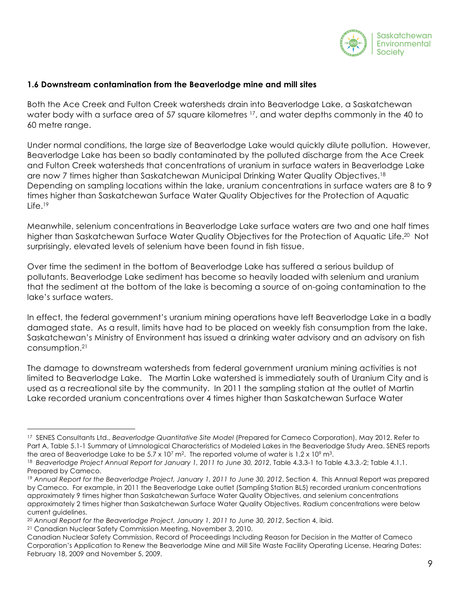

#### **1.6 Downstream contamination from the Beaverlodge mine and mill sites**

Both the Ace Creek and Fulton Creek watersheds drain into Beaverlodge Lake, a Saskatchewan water body with a surface area of 57 square kilometres <sup>17</sup>, and water depths commonly in the 40 to 60 metre range.

Under normal conditions, the large size of Beaverlodge Lake would quickly dilute pollution. However, Beaverlodge Lake has been so badly contaminated by the polluted discharge from the Ace Creek and Fulton Creek watersheds that concentrations of uranium in surface waters in Beaverlodge Lake are now 7 times higher than Saskatchewan Municipal Drinking Water Quality Objectives.<sup>18</sup> Depending on sampling locations within the lake, uranium concentrations in surface waters are 8 to 9 times higher than Saskatchewan Surface Water Quality Objectives for the Protection of Aquatic Life.<sup>19</sup>

Meanwhile, selenium concentrations in Beaverlodge Lake surface waters are two and one half times higher than Saskatchewan Surface Water Quality Objectives for the Protection of Aquatic Life.<sup>20</sup> Not surprisingly, elevated levels of selenium have been found in fish tissue.

Over time the sediment in the bottom of Beaverlodge Lake has suffered a serious buildup of pollutants. Beaverlodge Lake sediment has become so heavily loaded with selenium and uranium that the sediment at the bottom of the lake is becoming a source of on-going contamination to the lake's surface waters.

In effect, the federal government's uranium mining operations have left Beaverlodge Lake in a badly damaged state. As a result, limits have had to be placed on weekly fish consumption from the lake. Saskatchewan's Ministry of Environment has issued a drinking water advisory and an advisory on fish consumption.21

The damage to downstream watersheds from federal government uranium mining activities is not limited to Beaverlodge Lake. The Martin Lake watershed is immediately south of Uranium City and is used as a recreational site by the community. In 2011 the sampling station at the outlet of Martin Lake recorded uranium concentrations over 4 times higher than Saskatchewan Surface Water

<u>.</u>

<sup>17</sup> SENES Consultants Ltd., *Beaverlodge Quantitative Site Model* (Prepared for Cameco Corporation), May 2012. Refer to Part A, Table 5.1-1 Summary of Limnological Characteristics of Modeled Lakes in the Beaverlodge Study Area. SENES reports the area of Beaverlodge Lake to be  $5.7 \times 10^7$  m<sup>2</sup>. The reported volume of water is  $1.2 \times 10^9$  m<sup>3</sup>.

<sup>&</sup>lt;sup>18</sup> Beaverlodge Project Annual Report for January 1, 2011 to June 30, 2012, Table 4.3.3-1 to Table 4.3.3.-2; Table 4.1.1. Prepared by Cameco.

<sup>19</sup> *Annual Report for the Beaverlodge Project, January 1, 2011 to June 30, 2012*, Section 4. This Annual Report was prepared by Cameco. For example, in 2011 the Beaverlodge Lake outlet (Sampling Station BL5) recorded uranium concentrations approximately 9 times higher than Saskatchewan Surface Water Quality Objectives, and selenium concentrations approximately 2 times higher than Saskatchewan Surface Water Quality Objectives. Radium concentrations were below current guidelines.

<sup>20</sup> *Annual Report for the Beaverlodge Project, January 1, 2011 to June 30, 2012*, Section 4, ibid.

<sup>21</sup> Canadian Nuclear Safety Commission Meeting, November 3, 2010.

Canadian Nuclear Safety Commission, Record of Proceedings Including Reason for Decision in the Matter of Cameco Corporation's Application to Renew the Beaverlodge Mine and Mill Site Waste Facility Operating License, Hearing Dates: February 18, 2009 and November 5, 2009.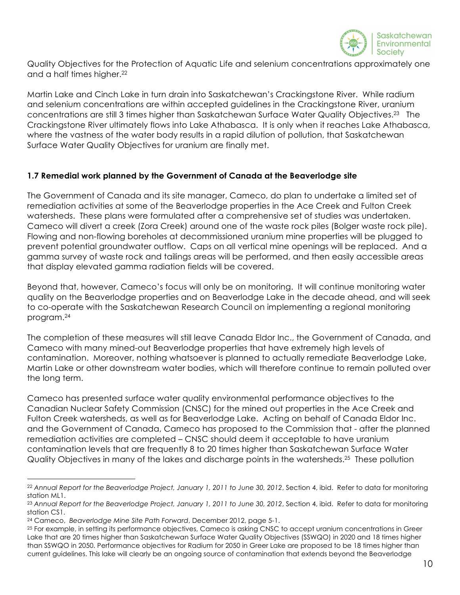

Quality Objectives for the Protection of Aquatic Life and selenium concentrations approximately one and a half times higher.<sup>22</sup>

Martin Lake and Cinch Lake in turn drain into Saskatchewan's Crackingstone River. While radium and selenium concentrations are within accepted guidelines in the Crackingstone River, uranium concentrations are still 3 times higher than Saskatchewan Surface Water Quality Objectives.23 The Crackingstone River ultimately flows into Lake Athabasca. It is only when it reaches Lake Athabasca, where the vastness of the water body results in a rapid dilution of pollution, that Saskatchewan Surface Water Quality Objectives for uranium are finally met.

## **1.7 Remedial work planned by the Government of Canada at the Beaverlodge site**

The Government of Canada and its site manager, Cameco, do plan to undertake a limited set of remediation activities at some of the Beaverlodge properties in the Ace Creek and Fulton Creek watersheds. These plans were formulated after a comprehensive set of studies was undertaken. Cameco will divert a creek (Zora Creek) around one of the waste rock piles (Bolger waste rock pile). Flowing and non-flowing boreholes at decommissioned uranium mine properties will be plugged to prevent potential groundwater outflow. Caps on all vertical mine openings will be replaced. And a gamma survey of waste rock and tailings areas will be performed, and then easily accessible areas that display elevated gamma radiation fields will be covered.

Beyond that, however, Cameco's focus will only be on monitoring. It will continue monitoring water quality on the Beaverlodge properties and on Beaverlodge Lake in the decade ahead, and will seek to co-operate with the Saskatchewan Research Council on implementing a regional monitoring program.24

The completion of these measures will still leave Canada Eldor Inc., the Government of Canada, and Cameco with many mined-out Beaverlodge properties that have extremely high levels of contamination. Moreover, nothing whatsoever is planned to actually remediate Beaverlodge Lake, Martin Lake or other downstream water bodies, which will therefore continue to remain polluted over the long term.

Cameco has presented surface water quality environmental performance objectives to the Canadian Nuclear Safety Commission (CNSC) for the mined out properties in the Ace Creek and Fulton Creek watersheds, as well as for Beaverlodge Lake. Acting on behalf of Canada Eldor Inc. and the Government of Canada, Cameco has proposed to the Commission that - after the planned remediation activities are completed – CNSC should deem it acceptable to have uranium contamination levels that are frequently 8 to 20 times higher than Saskatchewan Surface Water Quality Objectives in many of the lakes and discharge points in the watersheds.25 These pollution

<sup>22</sup> *Annual Report for the Beaverlodge Project, January 1, 2011 to June 30, 2012*, Section 4, ibid. Refer to data for monitoring station ML1.

<sup>23</sup> *Annual Report for the Beaverlodge Project, January 1, 2011 to June 30, 2012*, Section 4, ibid. Refer to data for monitoring station CS1.

<sup>24</sup> Cameco, *Beaverlodge Mine Site Path Forward*, December 2012, page 5-1.

<sup>&</sup>lt;sup>25</sup> For example, in setting its performance objectives, Cameco is asking CNSC to accept uranium concentrations in Greer Lake that are 20 times higher than Saskatchewan Surface Water Quality Objectives (SSWQO) in 2020 and 18 times higher than SSWQO in 2050. Performance objectives for Radium for 2050 in Greer Lake are proposed to be 18 times higher than current guidelines. This lake will clearly be an ongoing source of contamination that extends beyond the Beaverlodge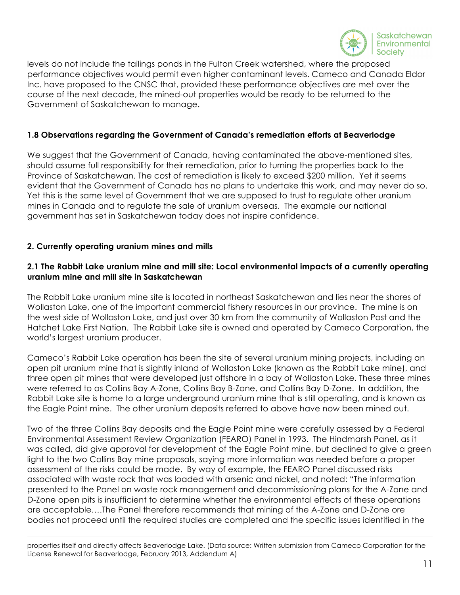

levels do not include the tailings ponds in the Fulton Creek watershed, where the proposed performance objectives would permit even higher contaminant levels. Cameco and Canada Eldor Inc. have proposed to the CNSC that, provided these performance objectives are met over the course of the next decade, the mined-out properties would be ready to be returned to the Government of Saskatchewan to manage.

### **1.8 Observations regarding the Government of Canada's remediation efforts at Beaverlodge**

We suggest that the Government of Canada, having contaminated the above-mentioned sites, should assume full responsibility for their remediation, prior to turning the properties back to the Province of Saskatchewan. The cost of remediation is likely to exceed \$200 million. Yet it seems evident that the Government of Canada has no plans to undertake this work, and may never do so. Yet this is the same level of Government that we are supposed to trust to regulate other uranium mines in Canada and to regulate the sale of uranium overseas. The example our national government has set in Saskatchewan today does not inspire confidence.

### **2. Currently operating uranium mines and mills**

 $\overline{a}$ 

## **2.1 The Rabbit Lake uranium mine and mill site: Local environmental impacts of a currently operating uranium mine and mill site in Saskatchewan**

The Rabbit Lake uranium mine site is located in northeast Saskatchewan and lies near the shores of Wollaston Lake, one of the important commercial fishery resources in our province. The mine is on the west side of Wollaston Lake, and just over 30 km from the community of Wollaston Post and the Hatchet Lake First Nation. The Rabbit Lake site is owned and operated by Cameco Corporation, the world's largest uranium producer.

Cameco's Rabbit Lake operation has been the site of several uranium mining projects, including an open pit uranium mine that is slightly inland of Wollaston Lake (known as the Rabbit Lake mine), and three open pit mines that were developed just offshore in a bay of Wollaston Lake. These three mines were referred to as Collins Bay A-Zone, Collins Bay B-Zone, and Collins Bay D-Zone. In addition, the Rabbit Lake site is home to a large underground uranium mine that is still operating, and is known as the Eagle Point mine. The other uranium deposits referred to above have now been mined out.

Two of the three Collins Bay deposits and the Eagle Point mine were carefully assessed by a Federal Environmental Assessment Review Organization (FEARO) Panel in 1993. The Hindmarsh Panel, as it was called, did give approval for development of the Eagle Point mine, but declined to give a green light to the two Collins Bay mine proposals, saying more information was needed before a proper assessment of the risks could be made. By way of example, the FEARO Panel discussed risks associated with waste rock that was loaded with arsenic and nickel, and noted: "The information presented to the Panel on waste rock management and decommissioning plans for the A-Zone and D-Zone open pits is insufficient to determine whether the environmental effects of these operations are acceptable….The Panel therefore recommends that mining of the A-Zone and D-Zone ore bodies not proceed until the required studies are completed and the specific issues identified in the

properties itself and directly affects Beaverlodge Lake. (Data source: Written submission from Cameco Corporation for the License Renewal for Beaverlodge, February 2013, Addendum A)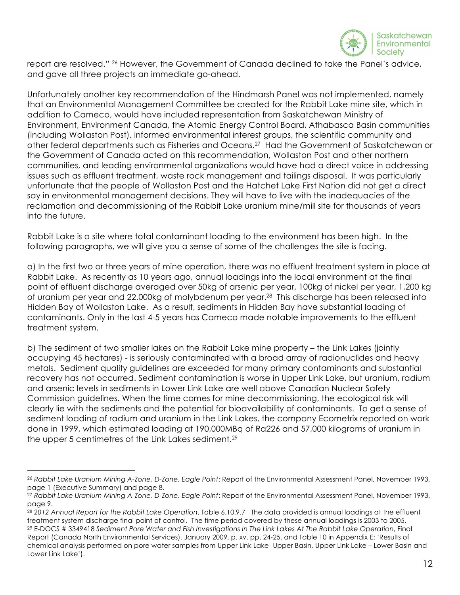

report are resolved." 26 However, the Government of Canada declined to take the Panel's advice, and gave all three projects an immediate go-ahead.

Unfortunately another key recommendation of the Hindmarsh Panel was not implemented, namely that an Environmental Management Committee be created for the Rabbit Lake mine site, which in addition to Cameco, would have included representation from Saskatchewan Ministry of Environment, Environment Canada, the Atomic Energy Control Board, Athabasca Basin communities (including Wollaston Post), informed environmental interest groups, the scientific community and other federal departments such as Fisheries and Oceans.27 Had the Government of Saskatchewan or the Government of Canada acted on this recommendation, Wollaston Post and other northern communities, and leading environmental organizations would have had a direct voice in addressing issues such as effluent treatment, waste rock management and tailings disposal. It was particularly unfortunate that the people of Wollaston Post and the Hatchet Lake First Nation did not get a direct say in environmental management decisions. They will have to live with the inadequacies of the reclamation and decommissioning of the Rabbit Lake uranium mine/mill site for thousands of years into the future.

Rabbit Lake is a site where total contaminant loading to the environment has been high. In the following paragraphs, we will give you a sense of some of the challenges the site is facing.

a) In the first two or three years of mine operation, there was no effluent treatment system in place at Rabbit Lake. As recently as 10 years ago, annual loadings into the local environment at the final point of effluent discharge averaged over 50kg of arsenic per year, 100kg of nickel per year, 1,200 kg of uranium per year and 22,000kg of molybdenum per year.28 This discharge has been released into Hidden Bay of Wollaston Lake. As a result, sediments in Hidden Bay have substantial loading of contaminants. Only in the last 4-5 years has Cameco made notable improvements to the effluent treatment system.

b) The sediment of two smaller lakes on the Rabbit Lake mine property – the Link Lakes (jointly occupying 45 hectares) - is seriously contaminated with a broad array of radionuclides and heavy metals. Sediment quality guidelines are exceeded for many primary contaminants and substantial recovery has not occurred. Sediment contamination is worse in Upper Link Lake, but uranium, radium and arsenic levels in sediments in Lower Link Lake are well above Canadian Nuclear Safety Commission guidelines. When the time comes for mine decommissioning, the ecological risk will clearly lie with the sediments and the potential for bioavailability of contaminants. To get a sense of sediment loading of radium and uranium in the Link Lakes, the company Ecometrix reported on work done in 1999, which estimated loading at 190,000MBq of Ra226 and 57,000 kilograms of uranium in the upper 5 centimetres of the Link Lakes sediment.<sup>29</sup>

<sup>26</sup> *Rabbit Lake Uranium Mining A-Zone, D-Zone, Eagle Point*: Report of the Environmental Assessment Panel, November 1993, page 1 (Executive Summary) and page 8.

<sup>27</sup> *Rabbit Lake Uranium Mining A-Zone, D-Zone, Eagle Point*: Report of the Environmental Assessment Panel, November 1993, page 9.

<sup>28</sup> *2012 Annual Report for the Rabbit Lake Operation*, Table 6.10.9.7 The data provided is annual loadings at the effluent treatment system discharge final point of control. The time period covered by these annual loadings is 2003 to 2005. <sup>29</sup> E-DOCS # 3349418 *Sediment Pore Water and Fish Investigations In The Link Lakes At The Rabbit Lake Operation*, Final Report (Canada North Environmental Services), January 2009, p. xv, pp. 24-25, and Table 10 in Appendix E: 'Results of chemical analysis performed on pore water samples from Upper Link Lake- Upper Basin, Upper Link Lake – Lower Basin and Lower Link Lake').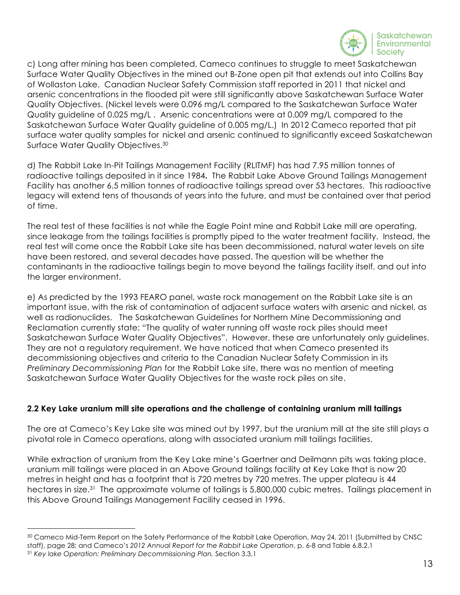

c) Long after mining has been completed, Cameco continues to struggle to meet Saskatchewan Surface Water Quality Objectives in the mined out B-Zone open pit that extends out into Collins Bay of Wollaston Lake. Canadian Nuclear Safety Commission staff reported in 2011 that nickel and arsenic concentrations in the flooded pit were still significantly above Saskatchewan Surface Water Quality Objectives. (Nickel levels were 0.096 mg/L compared to the Saskatchewan Surface Water Quality guideline of 0.025 mg/L . Arsenic concentrations were at 0.009 mg/L compared to the Saskatchewan Surface Water Quality guideline of 0.005 mg/L.) In 2012 Cameco reported that pit surface water quality samples for nickel and arsenic continued to significantly exceed Saskatchewan Surface Water Quality Objectives.<sup>30</sup>

d) The Rabbit Lake In-Pit Tailings Management Facility (RLITMF) has had 7.95 million tonnes of radioactive tailings deposited in it since 1984**.** The Rabbit Lake Above Ground Tailings Management Facility has another 6.5 million tonnes of radioactive tailings spread over 53 hectares. This radioactive legacy will extend tens of thousands of years into the future, and must be contained over that period of time.

The real test of these facilities is not while the Eagle Point mine and Rabbit Lake mill are operating, since leakage from the tailings facilities is promptly piped to the water treatment facility. Instead, the real test will come once the Rabbit Lake site has been decommissioned, natural water levels on site have been restored, and several decades have passed. The question will be whether the contaminants in the radioactive tailings begin to move beyond the tailings facility itself, and out into the larger environment.

e) As predicted by the 1993 FEARO panel, waste rock management on the Rabbit Lake site is an important issue, with the risk of contamination of adjacent surface waters with arsenic and nickel, as well as radionuclides. The Saskatchewan Guidelines for Northern Mine Decommissioning and Reclamation currently state: "The quality of water running off waste rock piles should meet Saskatchewan Surface Water Quality Objectives". However, these are unfortunately only guidelines. They are not a regulatory requirement. We have noticed that when Cameco presented its decommissioning objectives and criteria to the Canadian Nuclear Safety Commission in its *Preliminary Decommissioning Plan* for the Rabbit Lake site, there was no mention of meeting Saskatchewan Surface Water Quality Objectives for the waste rock piles on site.

## **2.2 Key Lake uranium mill site operations and the challenge of containing uranium mill tailings**

The ore at Cameco's Key Lake site was mined out by 1997, but the uranium mill at the site still plays a pivotal role in Cameco operations, along with associated uranium mill tailings facilities.

While extraction of uranium from the Key Lake mine's Gaertner and Deilmann pits was taking place, uranium mill tailings were placed in an Above Ground tailings facility at Key Lake that is now 20 metres in height and has a footprint that is 720 metres by 720 metres. The upper plateau is 44 hectares in size.<sup>31</sup> The approximate volume of tailings is 5,800,000 cubic metres. Tailings placement in this Above Ground Tailings Management Facility ceased in 1996.

<sup>30</sup> Cameco Mid-Term Report on the Safety Performance of the Rabbit Lake Operation, May 24, 2011 (Submitted by CNSC staff), page 28; and Cameco's *2012 Annual Report for the Rabbit Lake Operation*, p. 6-8 and Table 6.8.2.1 <sup>31</sup> *Key lake Operation: Preliminary Decommissioning Plan,* Section 3.3.1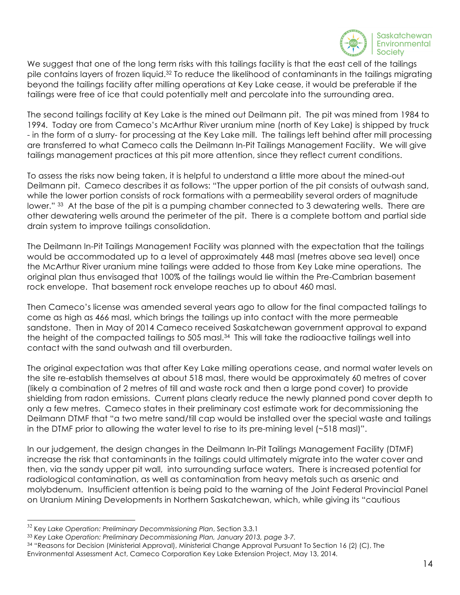

We suggest that one of the long term risks with this tailings facility is that the east cell of the tailings pile contains layers of frozen liquid.<sup>32</sup> To reduce the likelihood of contaminants in the tailings migrating beyond the tailings facility after milling operations at Key Lake cease, it would be preferable if the tailings were free of ice that could potentially melt and percolate into the surrounding area.

The second tailings facility at Key Lake is the mined out Deilmann pit. The pit was mined from 1984 to 1994. Today ore from Cameco's McArthur River uranium mine (north of Key Lake) is shipped by truck - in the form of a slurry- for processing at the Key Lake mill. The tailings left behind after mill processing are transferred to what Cameco calls the Deilmann In-Pit Tailings Management Facility. We will give tailings management practices at this pit more attention, since they reflect current conditions.

To assess the risks now being taken, it is helpful to understand a little more about the mined-out Deilmann pit. Cameco describes it as follows: "The upper portion of the pit consists of outwash sand, while the lower portion consists of rock formations with a permeability several orders of magnitude lower." 33 At the base of the pit is a pumping chamber connected to 3 dewatering wells. There are other dewatering wells around the perimeter of the pit. There is a complete bottom and partial side drain system to improve tailings consolidation.

The Deilmann In-Pit Tailings Management Facility was planned with the expectation that the tailings would be accommodated up to a level of approximately 448 masl (metres above sea level) once the McArthur River uranium mine tailings were added to those from Key Lake mine operations. The original plan thus envisaged that 100% of the tailings would lie within the Pre-Cambrian basement rock envelope. That basement rock envelope reaches up to about 460 masl.

Then Cameco's license was amended several years ago to allow for the final compacted tailings to come as high as 466 masl, which brings the tailings up into contact with the more permeable sandstone. Then in May of 2014 Cameco received Saskatchewan government approval to expand the height of the compacted tailings to 505 masl.<sup>34</sup> This will take the radioactive tailings well into contact with the sand outwash and till overburden.

The original expectation was that after Key Lake milling operations cease, and normal water levels on the site re-establish themselves at about 518 masl, there would be approximately 60 metres of cover (likely a combination of 2 metres of till and waste rock and then a large pond cover) to provide shielding from radon emissions. Current plans clearly reduce the newly planned pond cover depth to only a few metres. Cameco states in their preliminary cost estimate work for decommissioning the Deilmann DTMF that "a two metre sand/till cap would be installed over the special waste and tailings in the DTMF prior to allowing the water level to rise to its pre-mining level (~518 masl)".

In our judgement, the design changes in the Deilmann In-Pit Tailings Management Facility (DTMF) increase the risk that contaminants in the tailings could ultimately migrate into the water cover and then, via the sandy upper pit wall, into surrounding surface waters. There is increased potential for radiological contamination, as well as contamination from heavy metals such as arsenic and molybdenum. Insufficient attention is being paid to the warning of the Joint Federal Provincial Panel on Uranium Mining Developments in Northern Saskatchewan, which, while giving its "cautious

 <sup>32</sup> Key *Lake Operation: Preliminary Decommissioning Plan*, Section 3.3.1

<sup>33</sup> *Key Lake Operation: Preliminary Decommissioning Plan, January 2013, page 3-7.*

<sup>34</sup> "Reasons for Decision (Ministerial Approval), Ministerial Change Approval Pursuant To Section 16 (2) (C), The Environmental Assessment Act, Cameco Corporation Key Lake Extension Project, May 13, 2014.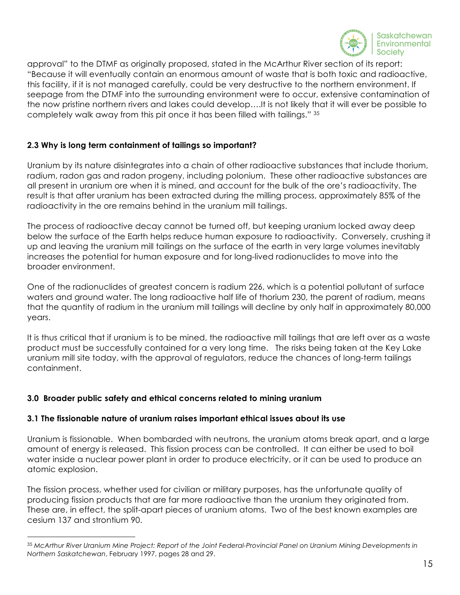

approval" to the DTMF as originally proposed, stated in the McArthur River section of its report: "Because it will eventually contain an enormous amount of waste that is both toxic and radioactive, this facility, if it is not managed carefully, could be very destructive to the northern environment. If seepage from the DTMF into the surrounding environment were to occur, extensive contamination of the now pristine northern rivers and lakes could develop….It is not likely that it will ever be possible to completely walk away from this pit once it has been filled with tailings." 35

## **2.3 Why is long term containment of tailings so important?**

Uranium by its nature disintegrates into a chain of other radioactive substances that include thorium, radium, radon gas and radon progeny, including polonium. These other radioactive substances are all present in uranium ore when it is mined, and account for the bulk of the ore's radioactivity. The result is that after uranium has been extracted during the milling process, approximately 85% of the radioactivity in the ore remains behind in the uranium mill tailings.

The process of radioactive decay cannot be turned off, but keeping uranium locked away deep below the surface of the Earth helps reduce human exposure to radioactivity. Conversely, crushing it up and leaving the uranium mill tailings on the surface of the earth in very large volumes inevitably increases the potential for human exposure and for long-lived radionuclides to move into the broader environment.

One of the radionuclides of greatest concern is radium 226, which is a potential pollutant of surface waters and ground water. The long radioactive half life of thorium 230, the parent of radium, means that the quantity of radium in the uranium mill tailings will decline by only half in approximately 80,000 years.

It is thus critical that if uranium is to be mined, the radioactive mill tailings that are left over as a waste product must be successfully contained for a very long time. The risks being taken at the Key Lake uranium mill site today, with the approval of regulators, reduce the chances of long-term tailings containment.

## **3.0 Broader public safety and ethical concerns related to mining uranium**

1

## **3.1 The fissionable nature of uranium raises important ethical issues about its use**

Uranium is fissionable. When bombarded with neutrons, the uranium atoms break apart, and a large amount of energy is released. This fission process can be controlled. It can either be used to boil water inside a nuclear power plant in order to produce electricity, or it can be used to produce an atomic explosion.

The fission process, whether used for civilian or military purposes, has the unfortunate quality of producing fission products that are far more radioactive than the uranium they originated from. These are, in effect, the split-apart pieces of uranium atoms. Two of the best known examples are cesium 137 and strontium 90.

<sup>35</sup> *McArthur River Uranium Mine Project: Report of the Joint Federal-Provincial Panel on Uranium Mining Developments in Northern Saskatchewan*, February 1997, pages 28 and 29.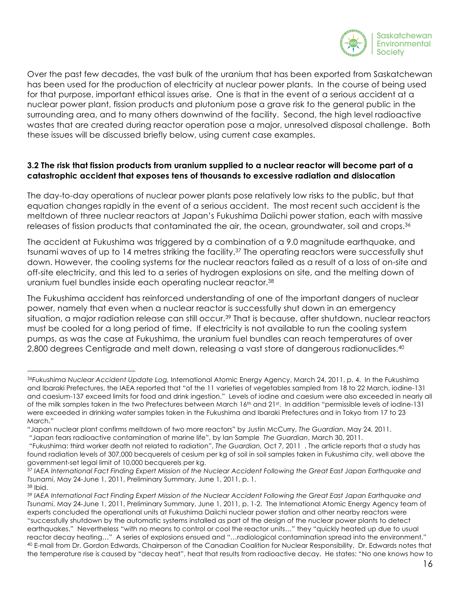

Over the past few decades, the vast bulk of the uranium that has been exported from Saskatchewan has been used for the production of electricity at nuclear power plants. In the course of being used for that purpose, important ethical issues arise. One is that in the event of a serious accident at a nuclear power plant, fission products and plutonium pose a grave risk to the general public in the surrounding area, and to many others downwind of the facility. Second, the high level radioactive wastes that are created during reactor operation pose a major, unresolved disposal challenge. Both these issues will be discussed briefly below, using current case examples.

## **3.2 The risk that fission products from uranium supplied to a nuclear reactor will become part of a catastrophic accident that exposes tens of thousands to excessive radiation and dislocation**

The day-to-day operations of nuclear power plants pose relatively low risks to the public, but that equation changes rapidly in the event of a serious accident. The most recent such accident is the meltdown of three nuclear reactors at Japan's Fukushima Daiichi power station, each with massive releases of fission products that contaminated the air, the ocean, groundwater, soil and crops.<sup>36</sup>

The accident at Fukushima was triggered by a combination of a 9.0 magnitude earthquake, and tsunami waves of up to 14 metres striking the facility.<sup>37</sup> The operating reactors were successfully shut down. However, the cooling systems for the nuclear reactors failed as a result of a loss of on-site and off-site electricity, and this led to a series of hydrogen explosions on site, and the melting down of uranium fuel bundles inside each operating nuclear reactor.38

The Fukushima accident has reinforced understanding of one of the important dangers of nuclear power, namely that even when a nuclear reactor is successfully shut down in an emergency situation, a major radiation release can still occur.<sup>39</sup> That is because, after shutdown, nuclear reactors must be cooled for a long period of time. If electricity is not available to run the cooling system pumps, as was the case at Fukushima, the uranium fuel bundles can reach temperatures of over 2,800 degrees Centigrade and melt down, releasing a vast store of dangerous radionuclides.40

<u>.</u>

<sup>36</sup>*Fukushima Nuclear Accident Update Log,* International Atomic Energy Agency, March 24, 2011, p. 4. In the Fukushima and Ibaraki Prefectures, the IAEA reported that "of the 11 varieties of vegetables sampled from 18 to 22 March, iodine-131 and caesium-137 exceed limits for food and drink ingestion." Levels of iodine and caesium were also exceeded in nearly all of the milk samples taken in the two Prefectures between March 16<sup>th</sup> and 21st. In addition "permissible levels of iodine-131 were exceeded in drinking water samples taken in the Fukushima and Ibaraki Prefectures and in Tokyo from 17 to 23 March."

<sup>&</sup>quot;Japan nuclear plant confirms meltdown of two more reactors" by Justin McCurry, *The Guardian*, May 24, 2011.

<sup>&</sup>quot;Japan fears radioactive contamination of marine life", by Ian Sample *The Guardian*, March 30, 2011.

<sup>&</sup>quot;Fukushima: third worker death not related to radiation", *The Guardian,* Oct 7, 2011 . The article reports that a study has found radiation levels of 307,000 becquerels of cesium per kg of soil in soil samples taken in Fukushima city, well above the government-set legal limit of 10,000 becquerels per kg.

<sup>37</sup> *IAEA International Fact Finding Expert Mission of the Nuclear Accident Following the Great East Japan Earthquake and Tsunami*, May 24-June 1, 2011, Preliminary Summary, June 1, 2011, p. 1. <sup>38</sup> Ibid.

<sup>39</sup> *IAEA International Fact Finding Expert Mission of the Nuclear Accident Following the Great East Japan Earthquake and Tsunami*, May 24-June 1, 2011, Preliminary Summary, June 1, 2011, p. 1-2. The International Atomic Energy Agency team of experts concluded the operational units at Fukushima Daiichi nuclear power station and other nearby reactors were "successfully shutdown by the automatic systems installed as part of the design of the nuclear power plants to detect earthquakes." Nevertheless "with no means to control or cool the reactor units…" they "quickly heated up due to usual reactor decay heating…" A series of explosions ensued and "…radiological contamination spread into the environment." <sup>40</sup> E-mail from Dr. Gordon Edwards, Chairperson of the Canadian Coalition for Nuclear Responsibility. Dr. Edwards notes that the temperature rise is caused by "decay heat", heat that results from radioactive decay. He states: "No one knows how to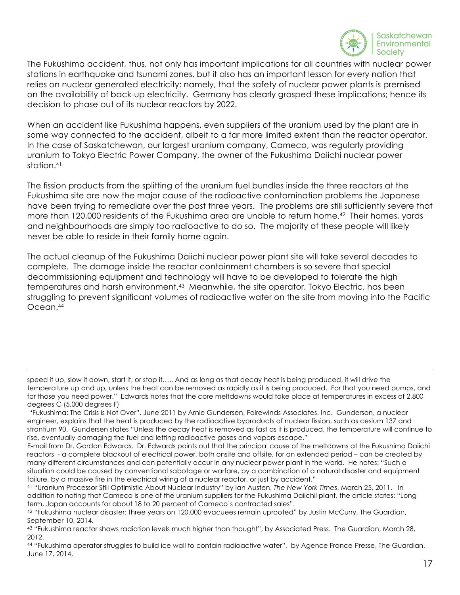

The Fukushima accident, thus, not only has important implications for all countries with nuclear power stations in earthquake and tsunami zones, but it also has an important lesson for every nation that relies on nuclear generated electricity: namely, that the safety of nuclear power plants is premised on the availability of back-up electricity. Germany has clearly grasped these implications; hence its decision to phase out of its nuclear reactors by 2022.

When an accident like Fukushima happens, even suppliers of the uranium used by the plant are in some way connected to the accident, albeit to a far more limited extent than the reactor operator. In the case of Saskatchewan, our largest uranium company, Cameco, was regularly providing uranium to Tokyo Electric Power Company, the owner of the Fukushima Daiichi nuclear power station.<sup>41</sup>

The fission products from the splitting of the uranium fuel bundles inside the three reactors at the Fukushima site are now the major cause of the radioactive contamination problems the Japanese have been trying to remediate over the past three years. The problems are still sufficiently severe that more than 120,000 residents of the Fukushima area are unable to return home.<sup>42</sup> Their homes, yards and neighbourhoods are simply too radioactive to do so. The majority of these people will likely never be able to reside in their family home again.

The actual cleanup of the Fukushima Daiichi nuclear power plant site will take several decades to complete. The damage inside the reactor containment chambers is so severe that special decommissioning equipment and technology will have to be developed to tolerate the high temperatures and harsh environment.<sup>43</sup> Meanwhile, the site operator, Tokyo Electric, has been struggling to prevent significant volumes of radioactive water on the site from moving into the Pacific Ocean.44

 $\overline{a}$ 

speed it up, slow it down, start it, or stop it….. And as long as that decay heat is being produced, it will drive the temperature up and up, unless the heat can be removed as rapidly as it is being produced. For that you need pumps, and for those you need power." Edwards notes that the core meltdowns would take place at temperatures in excess of 2,800 degrees C (5,000 degrees F)

<sup>&</sup>quot;Fukushima: The Crisis is Not Over", June 2011 by Arnie Gundersen, Fairewinds Associates, Inc. Gunderson, a nuclear engineer, explains that the heat is produced by the radioactive byproducts of nuclear fission, such as cesium 137 and strontium 90. Gundersen states "Unless the decay heat is removed as fast as it is produced, the temperature will continue to rise, eventually damaging the fuel and letting radioactive gases and vapors escape."

E-mail from Dr. Gordon Edwards. Dr. Edwards points out that the principal cause of the meltdowns at the Fukushima Daiichi reactors - a complete blackout of electrical power, both onsite and offsite, for an extended period – can be created by many different circumstances and can potentially occur in any nuclear power plant in the world. He notes: "Such a situation could be caused by conventional sabotage or warfare, by a combination of a natural disaster and equipment failure, by a massive fire in the electrical wiring of a nuclear reactor, or just by accident."

<sup>41</sup> "Uranium Processor Still Optimistic About Nuclear Industry" by Ian Austen, *The New York Times*, March 25, 2011. In addition to noting that Cameco is one of the uranium suppliers for the Fukushima Daiichil plant, the article states: "Longterm, Japan accounts for about 18 to 20 percent of Cameco's contracted sales".

<sup>42 &</sup>quot;Fukushima nuclear disaster: three years on 120,000 evacuees remain uprooted" by Justin McCurry, The Guardian, September 10, 2014.

<sup>43 &</sup>quot;Fukushima reactor shows radiation levels much higher than thought", by Associated Press. The Guardian, March 28, 2012.

<sup>44</sup> "Fukushima operator struggles to build ice wall to contain radioactive water", by Agence France-Presse, The Guardian, June 17, 2014.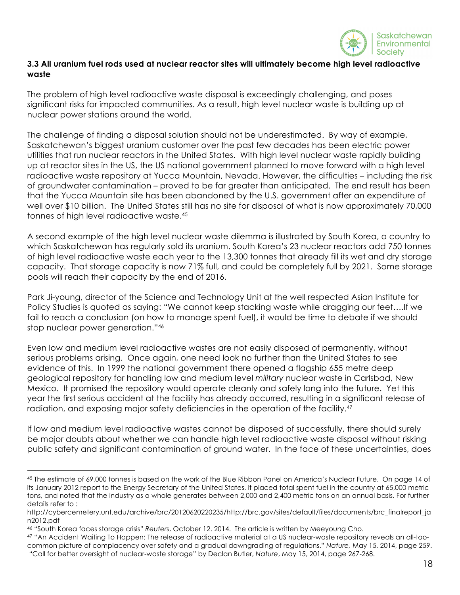

## **3.3 All uranium fuel rods used at nuclear reactor sites will ultimately become high level radioactive waste**

The problem of high level radioactive waste disposal is exceedingly challenging, and poses significant risks for impacted communities. As a result, high level nuclear waste is building up at nuclear power stations around the world.

The challenge of finding a disposal solution should not be underestimated. By way of example, Saskatchewan's biggest uranium customer over the past few decades has been electric power utilities that run nuclear reactors in the United States. With high level nuclear waste rapidly building up at reactor sites in the US, the US national government planned to move forward with a high level radioactive waste repository at Yucca Mountain, Nevada. However, the difficulties – including the risk of groundwater contamination – proved to be far greater than anticipated. The end result has been that the Yucca Mountain site has been abandoned by the U.S. government after an expenditure of well over \$10 billion. The United States still has no site for disposal of what is now approximately 70,000 tonnes of high level radioactive waste.45

A second example of the high level nuclear waste dilemma is illustrated by South Korea, a country to which Saskatchewan has regularly sold its uranium. South Korea's 23 nuclear reactors add 750 tonnes of high level radioactive waste each year to the 13,300 tonnes that already fill its wet and dry storage capacity. That storage capacity is now 71% full, and could be completely full by 2021. Some storage pools will reach their capacity by the end of 2016.

Park Ji-young, director of the Science and Technology Unit at the well respected Asian Institute for Policy Studies is quoted as saying: "We cannot keep stacking waste while dragging our feet….If we fail to reach a conclusion (on how to manage spent fuel), it would be time to debate if we should stop nuclear power generation."46

Even low and medium level radioactive wastes are not easily disposed of permanently, without serious problems arising. Once again, one need look no further than the United States to see evidence of this. In 1999 the national government there opened a flagship 655 metre deep geological repository for handling low and medium level *military* nuclear waste in Carlsbad, New Mexico. It promised the repository would operate cleanly and safely long into the future. Yet this year the first serious accident at the facility has already occurred, resulting in a significant release of radiation, and exposing major safety deficiencies in the operation of the facility.<sup>47</sup>

If low and medium level radioactive wastes cannot be disposed of successfully, there should surely be major doubts about whether we can handle high level radioactive waste disposal without risking public safety and significant contamination of ground water. In the face of these uncertainties, does

<sup>45</sup> The estimate of 69,000 tonnes is based on the work of the Blue Ribbon Panel on America's Nuclear Future. On page 14 of its January 2012 report to the Energy Secretary of the United States, it placed total spent fuel in the country at 65,000 metric tons, and noted that the industry as a whole generates between 2,000 and 2,400 metric tons on an annual basis. For further details refer to :

http://cybercemetery.unt.edu/archive/brc/20120620220235/http://brc.gov/sites/default/files/documents/brc\_finalreport\_ja n2012.pdf

<sup>46</sup> "South Korea faces storage crisis" *Reuter*s, October 12. 2014. The article is written by Meeyoung Cho.

<sup>47</sup> "An Accident Waiting To Happen: The release of radioactive material at a US nuclear-waste repository reveals an all-toocommon picture of complacency over safety and a gradual downgrading of regulations." *Nature,* May 15, 2014, page 259. "Call for better oversight of nuclear-waste storage" by Declan Butler, *Nature*, May 15, 2014, page 267-268.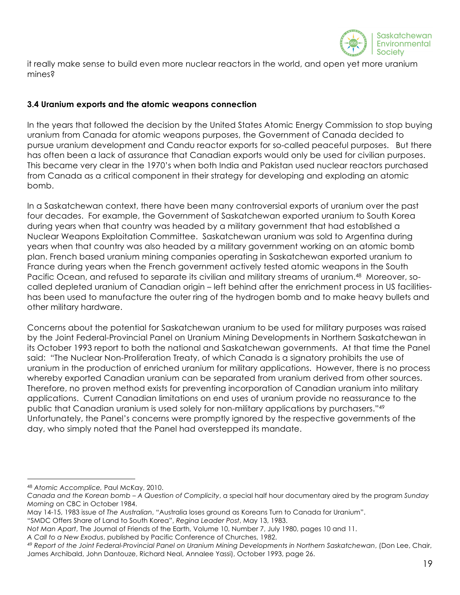

it really make sense to build even more nuclear reactors in the world, and open yet more uranium mines?

### **3.4 Uranium exports and the atomic weapons connection**

In the years that followed the decision by the United States Atomic Energy Commission to stop buying uranium from Canada for atomic weapons purposes, the Government of Canada decided to pursue uranium development and Candu reactor exports for so-called peaceful purposes. But there has often been a lack of assurance that Canadian exports would only be used for civilian purposes. This became very clear in the 1970's when both India and Pakistan used nuclear reactors purchased from Canada as a critical component in their strategy for developing and exploding an atomic bomb.

In a Saskatchewan context, there have been many controversial exports of uranium over the past four decades. For example, the Government of Saskatchewan exported uranium to South Korea during years when that country was headed by a military government that had established a Nuclear Weapons Exploitation Committee. Saskatchewan uranium was sold to Argentina during years when that country was also headed by a military government working on an atomic bomb plan. French based uranium mining companies operating in Saskatchewan exported uranium to France during years when the French government actively tested atomic weapons in the South Pacific Ocean, and refused to separate its civilian and military streams of uranium.<sup>48</sup> Moreover, socalled depleted uranium of Canadian origin – left behind after the enrichment process in US facilitieshas been used to manufacture the outer ring of the hydrogen bomb and to make heavy bullets and other military hardware.

Concerns about the potential for Saskatchewan uranium to be used for military purposes was raised by the Joint Federal-Provincial Panel on Uranium Mining Developments in Northern Saskatchewan in its October 1993 report to both the national and Saskatchewan governments. At that time the Panel said: "The Nuclear Non-Proliferation Treaty, of which Canada is a signatory prohibits the use of uranium in the production of enriched uranium for military applications. However, there is no process whereby exported Canadian uranium can be separated from uranium derived from other sources. Therefore, no proven method exists for preventing incorporation of Canadian uranium into military applications. Current Canadian limitations on end uses of uranium provide no reassurance to the public that Canadian uranium is used solely for non-military applications by purchasers."49 Unfortunately, the Panel's concerns were promptly ignored by the respective governments of the day, who simply noted that the Panel had overstepped its mandate.

<sup>48</sup> *Atomic Accomplice,* Paul McKay, 2010.

*Canada and the Korean bomb – A Question of Complicity*, a special half hour documentary aired by the program *Sunday Morning* on CBC in October 1984.

May 14-15, 1983 issue of *The Australian*, "Australia loses ground as Koreans Turn to Canada for Uranium".

<sup>&</sup>quot;SMDC Offers Share of Land to South Korea", *Regina Leader Post*, May 13, 1983.

*Not Man Apart*, The Journal of Friends of the Earth, Volume 10, Number 7, July 1980, pages 10 and 11.

*A Call to a New Exodus*, published by Pacific Conference of Churches, 1982.

<sup>49</sup> *Report of the Joint Federal-Provincial Panel on Uranium Mining Developments in Northern Saskatchewan*, (Don Lee, Chair, James Archibald, John Dantouze, Richard Neal, Annalee Yassi), October 1993, page 26.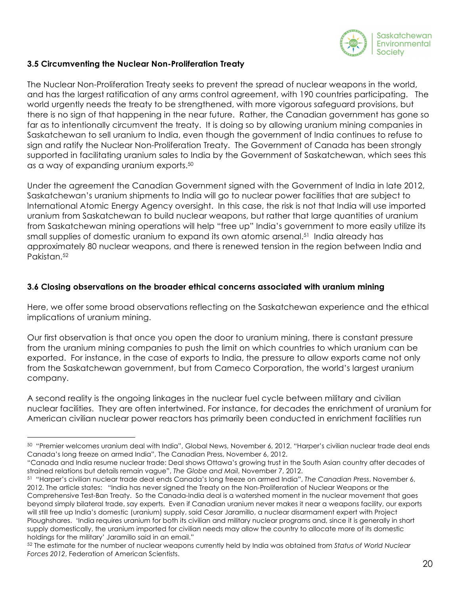

## **3.5 Circumventing the Nuclear Non-Proliferation Treaty**

1

The Nuclear Non-Proliferation Treaty seeks to prevent the spread of nuclear weapons in the world, and has the largest ratification of any arms control agreement, with 190 countries participating. The world urgently needs the treaty to be strengthened, with more vigorous safeguard provisions, but there is no sign of that happening in the near future. Rather, the Canadian government has gone so far as to intentionally circumvent the treaty. It is doing so by allowing uranium mining companies in Saskatchewan to sell uranium to India, even though the government of India continues to refuse to sign and ratify the Nuclear Non-Proliferation Treaty. The Government of Canada has been strongly supported in facilitating uranium sales to India by the Government of Saskatchewan, which sees this as a way of expanding uranium exports.50

Under the agreement the Canadian Government signed with the Government of India in late 2012, Saskatchewan's uranium shipments to India will go to nuclear power facilities that are subject to International Atomic Energy Agency oversight. In this case, the risk is not that India will use imported uranium from Saskatchewan to build nuclear weapons, but rather that large quantities of uranium from Saskatchewan mining operations will help "free up" India's government to more easily utilize its small supplies of domestic uranium to expand its own atomic arsenal.51 India already has approximately 80 nuclear weapons, and there is renewed tension in the region between India and Pakistan.52

### **3.6 Closing observations on the broader ethical concerns associated with uranium mining**

Here, we offer some broad observations reflecting on the Saskatchewan experience and the ethical implications of uranium mining.

Our first observation is that once you open the door to uranium mining, there is constant pressure from the uranium mining companies to push the limit on which countries to which uranium can be exported. For instance, in the case of exports to India, the pressure to allow exports came not only from the Saskatchewan government, but from Cameco Corporation, the world's largest uranium company.

A second reality is the ongoing linkages in the nuclear fuel cycle between military and civilian nuclear facilities. They are often intertwined. For instance, for decades the enrichment of uranium for American civilian nuclear power reactors has primarily been conducted in enrichment facilities run

<sup>50 &</sup>quot;Premier welcomes uranium deal with India", Global News, November 6, 2012. "Harper's civilian nuclear trade deal ends Canada's long freeze on armed India", The Canadian Press, November 6, 2012.

<sup>&</sup>quot;Canada and India resume nuclear trade: Deal shows Ottawa's growing trust in the South Asian country after decades of strained relations but details remain vague", *The Globe and Mail*, November 7, 2012.

<sup>51 &</sup>quot;Harper's civilian nuclear trade deal ends Canada's long freeze on armed India", *The Canadian Press*, November 6, 2012. The article states: "India has never signed the Treaty on the Non-Proliferation of Nuclear Weapons or the Comprehensive Test-Ban Treaty. So the Canada-India deal is a watershed moment in the nuclear movement that goes beyond simply bilateral trade, say experts. Even if Canadian uranium never makes it near a weapons facility, our exports will still free up India's domestic (uranium) supply, said Cesar Jaramillo, a nuclear disarmament expert with Project Ploughshares. 'India requires uranium for both its civilian and military nuclear programs and, since it is generally in short supply domestically, the uranium imported for civilian needs may allow the country to allocate more of its domestic holdings for the military' Jaramillo said in an email."

<sup>52</sup> The estimate for the number of nuclear weapons currently held by India was obtained from *Status of World Nuclear Forces 2012*, Federation of American Scientists.